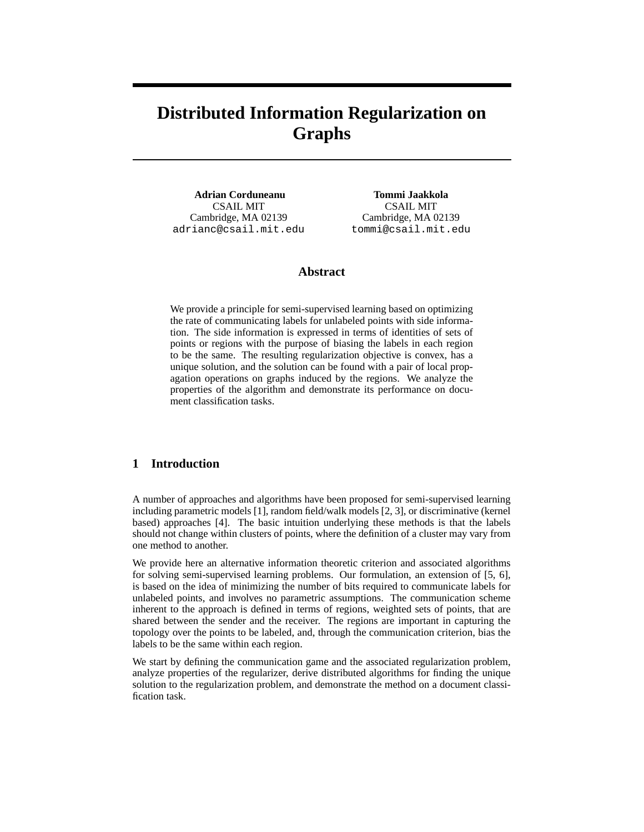# **Distributed Information Regularization on Graphs**

**Adrian Corduneanu** CSAIL MIT Cambridge, MA 02139 adrianc@csail.mit.edu

**Tommi Jaakkola** CSAIL MIT Cambridge, MA 02139 tommi@csail.mit.edu

## **Abstract**

We provide a principle for semi-supervised learning based on optimizing the rate of communicating labels for unlabeled points with side information. The side information is expressed in terms of identities of sets of points or regions with the purpose of biasing the labels in each region to be the same. The resulting regularization objective is convex, has a unique solution, and the solution can be found with a pair of local propagation operations on graphs induced by the regions. We analyze the properties of the algorithm and demonstrate its performance on document classification tasks.

## **1 Introduction**

A number of approaches and algorithms have been proposed for semi-supervised learning including parametric models [1], random field/walk models [2, 3], or discriminative (kernel based) approaches [4]. The basic intuition underlying these methods is that the labels should not change within clusters of points, where the definition of a cluster may vary from one method to another.

We provide here an alternative information theoretic criterion and associated algorithms for solving semi-supervised learning problems. Our formulation, an extension of [5, 6], is based on the idea of minimizing the number of bits required to communicate labels for unlabeled points, and involves no parametric assumptions. The communication scheme inherent to the approach is defined in terms of regions, weighted sets of points, that are shared between the sender and the receiver. The regions are important in capturing the topology over the points to be labeled, and, through the communication criterion, bias the labels to be the same within each region.

We start by defining the communication game and the associated regularization problem, analyze properties of the regularizer, derive distributed algorithms for finding the unique solution to the regularization problem, and demonstrate the method on a document classification task.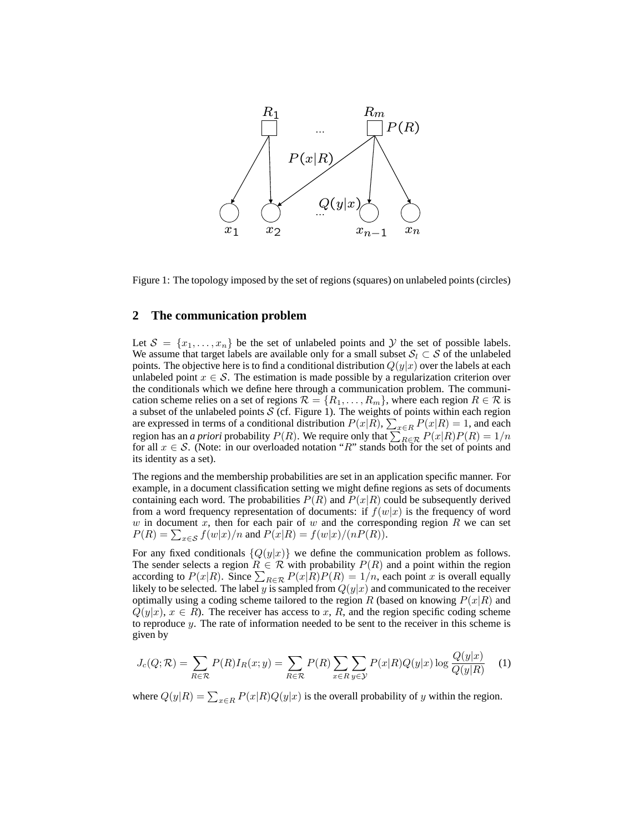

Figure 1: The topology imposed by the set of regions (squares) on unlabeled points (circles)

#### **2 The communication problem**

Let  $\mathcal{S} = \{x_1, \ldots, x_n\}$  be the set of unlabeled points and Y the set of possible labels. We assume that target labels are available only for a small subset  $S_l \subset S$  of the unlabeled points. The objective here is to find a conditional distribution  $Q(y|x)$  over the labels at each unlabeled point  $x \in S$ . The estimation is made possible by a regularization criterion over the conditionals which we define here through a communication problem. The communication scheme relies on a set of regions  $\mathcal{R} = \{R_1, \ldots, R_m\}$ , where each region  $R \in \mathcal{R}$  is a subset of the unlabeled points  $S$  (cf. Figure 1). The weights of points within each region are expressed in terms of a conditional distribution  $P(x|R)$ ,  $\sum_{x \in R} P(x|R) = 1$ , and each region has an *a priori* probability  $P(R)$ . We require only that  $\sum_{R \in \mathcal{R}} P(x|R)P(R) = 1/n$ for all  $x \in S$ . (Note: in our overloaded notation "R" stands both for the set of points and its identity as a set).

The regions and the membership probabilities are set in an application specific manner. For example, in a document classification setting we might define regions as sets of documents containing each word. The probabilities  $P(R)$  and  $P(x|R)$  could be subsequently derived from a word frequency representation of documents: if  $f(w|x)$  is the frequency of word w in document x, then for each pair of w and the corresponding region R we can set  $P(R) = \sum_{x \in S} f(w|x)/n$  and  $P(x|R) = f(w|x)/(nP(R)).$ 

For any fixed conditionals  ${Q(y|x)}$  we define the communication problem as follows. The sender selects a region  $R \in \mathcal{R}$  with probability  $P(R)$  and a point within the region according to  $P(x|R)$ . Since  $\sum_{R \in \mathcal{R}} P(x|R)P(R) = 1/n$ , each point x is overall equally likely to be selected. The label y is sampled from  $Q(y|x)$  and communicated to the receiver optimally using a coding scheme tailored to the region R (based on knowing  $P(x|R)$  and  $Q(y|x), x \in R$ ). The receiver has access to x, R, and the region specific coding scheme to reproduce y. The rate of information needed to be sent to the receiver in this scheme is given by

$$
J_c(Q; \mathcal{R}) = \sum_{R \in \mathcal{R}} P(R) I_R(x; y) = \sum_{R \in \mathcal{R}} P(R) \sum_{x \in R} \sum_{y \in \mathcal{Y}} P(x|R) Q(y|x) \log \frac{Q(y|x)}{Q(y|R)}
$$
(1)

where  $Q(y|R) = \sum_{x \in R} P(x|R)Q(y|x)$  is the overall probability of y within the region.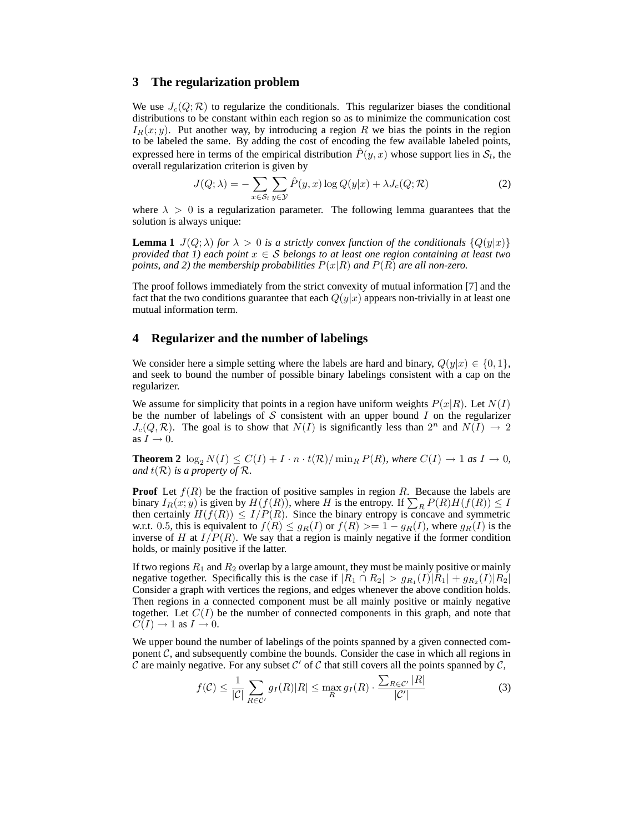#### **3 The regularization problem**

We use  $J_c(Q; \mathcal{R})$  to regularize the conditionals. This regularizer biases the conditional distributions to be constant within each region so as to minimize the communication cost  $I_R(x; y)$ . Put another way, by introducing a region R we bias the points in the region to be labeled the same. By adding the cost of encoding the few available labeled points, expressed here in terms of the empirical distribution  $\hat{P}(y,x)$  whose support lies in  $\mathcal{S}_l$ , the overall regularization criterion is given by

$$
J(Q; \lambda) = -\sum_{x \in S_l} \sum_{y \in \mathcal{Y}} \hat{P}(y, x) \log Q(y|x) + \lambda J_c(Q; \mathcal{R})
$$
 (2)

where  $\lambda > 0$  is a regularization parameter. The following lemma guarantees that the solution is always unique:

**Lemma 1**  $J(Q; \lambda)$  *for*  $\lambda > 0$  *is a strictly convex function of the conditionals*  $\{Q(y|x)\}\$ *provided that 1) each point*  $x \in S$  *belongs to at least one region containing at least two points, and 2) the membership probabilities*  $P(x|R)$  *and*  $P(R)$  *are all non-zero.* 

The proof follows immediately from the strict convexity of mutual information [7] and the fact that the two conditions guarantee that each  $Q(y|x)$  appears non-trivially in at least one mutual information term.

#### **4 Regularizer and the number of labelings**

We consider here a simple setting where the labels are hard and binary,  $Q(y|x) \in \{0, 1\}$ , and seek to bound the number of possible binary labelings consistent with a cap on the regularizer.

We assume for simplicity that points in a region have uniform weights  $P(x|R)$ . Let  $N(I)$ be the number of labelings of S consistent with an upper bound I on the regularizer  $J_c(Q, \mathcal{R})$ . The goal is to show that  $N(I)$  is significantly less than  $2^n$  and  $N(I) \to 2$ as  $I \rightarrow 0$ .

**Theorem 2**  $\log_2 N(I) \leq C(I) + I \cdot n \cdot t(\mathcal{R}) / \min_R P(R)$ *, where*  $C(I) \rightarrow 1$  *as*  $I \rightarrow 0$ *, and*  $t(\mathcal{R})$  *is a property of*  $\mathcal{R}$ *.* 

**Proof** Let  $f(R)$  be the fraction of positive samples in region R. Because the labels are binary  $I_R(x; y)$  is given by  $H(f(R))$ , where H is the entropy. If  $\sum_R P(R)H(f(R)) \leq I$ then certainly  $H(f(R)) \leq I/P(R)$ . Since the binary entropy is concave and symmetric w.r.t. 0.5, this is equivalent to  $f(R) \leq g_R(I)$  or  $f(R) \geq 1 - g_R(I)$ , where  $g_R(I)$  is the inverse of H at  $I/P(R)$ . We say that a region is mainly negative if the former condition holds, or mainly positive if the latter.

If two regions  $R_1$  and  $R_2$  overlap by a large amount, they must be mainly positive or mainly negative together. Specifically this is the case if  $|R_1 \cap R_2| > g_{R_1}(I)|R_1| + g_{R_2}(I)|R_2|$ Consider a graph with vertices the regions, and edges whenever the above condition holds. Then regions in a connected component must be all mainly positive or mainly negative together. Let  $C(I)$  be the number of connected components in this graph, and note that  $C(I) \rightarrow 1$  as  $I \rightarrow 0$ .

We upper bound the number of labelings of the points spanned by a given connected component  $C$ , and subsequently combine the bounds. Consider the case in which all regions in  $\tilde{C}$  are mainly negative. For any subset  $\mathcal{C}'$  of  $\mathcal{C}$  that still covers all the points spanned by  $\mathcal{C}$ ,

$$
f(\mathcal{C}) \le \frac{1}{|\mathcal{C}|} \sum_{R \in \mathcal{C}'} g_I(R) |R| \le \max_R g_I(R) \cdot \frac{\sum_{R \in \mathcal{C}'} |R|}{|\mathcal{C}'|} \tag{3}
$$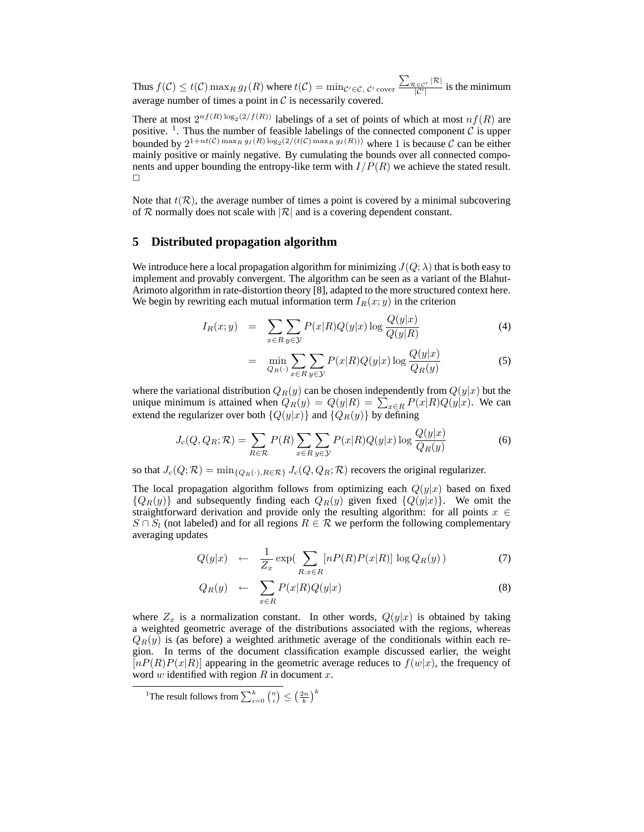Thus  $f(C) \leq t(C) \max_R g_I(R)$  where  $t(C) = \min_{C' \in C, C' \text{ cover}} \frac{\sum_{\mathcal{R} \in C'} |\mathcal{R}|}{|\mathcal{C}'|}$  $\frac{c \in C^{\prime} \cap C}{|C'|}$  is the minimum average number of times a point in  $C$  is necessarily covered.

There at most  $2^{nf(R)\log_2(2/f(R))}$  labelings of a set of points of which at most  $nf(R)$  are positive. <sup>1</sup>. Thus the number of feasible labelings of the connected component  $\hat{C}$  is upper bounded by  $2^{1+nt(C) \max_R g_I(R) \log_2(2/(t(C) \max_R g_I(R)))}$  where 1 is because C can be either mainly positive or mainly negative. By cumulating the bounds over all connected components and upper bounding the entropy-like term with  $I/P(R)$  we achieve the stated result.  $\Box$ 

Note that  $t(\mathcal{R})$ , the average number of times a point is covered by a minimal subcovering of R normally does not scale with  $|R|$  and is a covering dependent constant.

## **5 Distributed propagation algorithm**

We introduce here a local propagation algorithm for minimizing  $J(Q; \lambda)$  that is both easy to implement and provably convergent. The algorithm can be seen as a variant of the Blahut-Arimoto algorithm in rate-distortion theory [8], adapted to the more structured context here. We begin by rewriting each mutual information term  $I_R(x; y)$  in the criterion

$$
I_R(x; y) = \sum_{x \in R} \sum_{y \in \mathcal{Y}} P(x|R) Q(y|x) \log \frac{Q(y|x)}{Q(y|R)}
$$
(4)

$$
= \min_{Q_R(\cdot)} \sum_{x \in R} \sum_{y \in \mathcal{Y}} P(x|R) Q(y|x) \log \frac{Q(y|x)}{Q_R(y)} \tag{5}
$$

where the variational distribution  $Q_R(y)$  can be chosen independently from  $Q(y|x)$  but the unique minimum is attained when  $Q_R(y) = Q(y|R) = \sum_{x \in R} P(x|R)Q(y|x)$ . We can extend the regularizer over both  ${Q(y|x)}$  and  ${Q_R(y)}$  by defining

$$
J_c(Q, Q_R; \mathcal{R}) = \sum_{R \in \mathcal{R}} P(R) \sum_{x \in R} \sum_{y \in \mathcal{Y}} P(x|R) Q(y|x) \log \frac{Q(y|x)}{Q_R(y)}
$$
(6)

so that  $J_c(Q; \mathcal{R}) = \min_{\{Q_R(\cdot), R \in \mathcal{R}\}} J_c(Q, Q_R; \mathcal{R})$  recovers the original regularizer.

The local propagation algorithm follows from optimizing each  $Q(y|x)$  based on fixed  ${Q_R(y)}$  and subsequently finding each  $Q_R(y)$  given fixed  ${Q(y|x)}$ . We omit the straightforward derivation and provide only the resulting algorithm: for all points  $x \in$  $S \cap S_l$  (not labeled) and for all regions  $R \in \mathcal{R}$  we perform the following complementary averaging updates

$$
Q(y|x) \leftarrow \frac{1}{Z_x} \exp\left(\sum_{R:x \in R} [nP(R)P(x|R)] \log Q_R(y)\right) \tag{7}
$$

$$
Q_R(y) \leftarrow \sum_{x \in R} P(x|R)Q(y|x) \tag{8}
$$

where  $Z_x$  is a normalization constant. In other words,  $Q(y|x)$  is obtained by taking a weighted geometric average of the distributions associated with the regions, whereas  $Q_R(y)$  is (as before) a weighted arithmetic average of the conditionals within each region. In terms of the document classification example discussed earlier, the weight  $[nP(R)P(x|R)]$  appearing in the geometric average reduces to  $f(w|x)$ , the frequency of word  $w$  identified with region  $R$  in document  $x$ .

<sup>&</sup>lt;sup>1</sup>The result follows from  $\sum_{i=0}^{k} \binom{n}{i} \leq \left(\frac{2n}{k}\right)^k$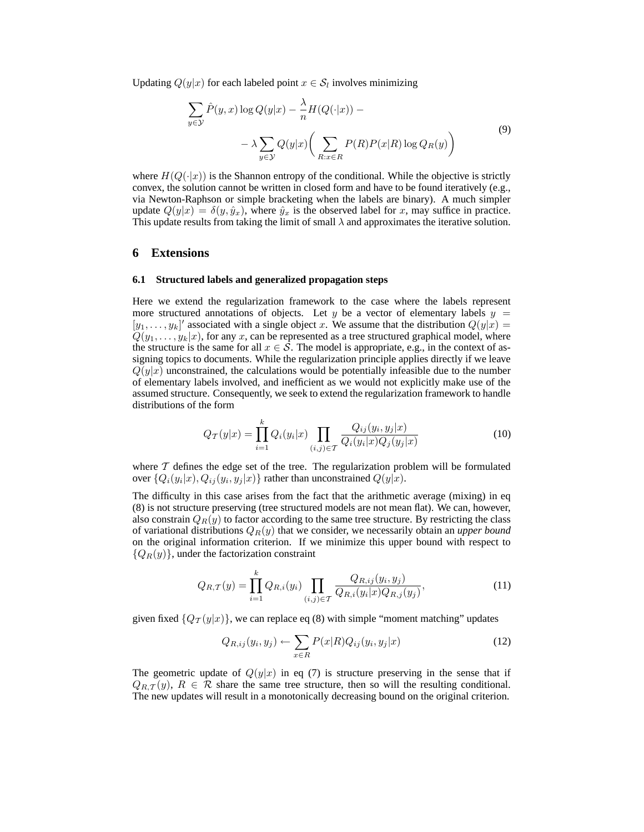Updating  $Q(y|x)$  for each labeled point  $x \in \mathcal{S}_l$  involves minimizing

$$
\sum_{y \in \mathcal{Y}} \hat{P}(y, x) \log Q(y|x) - \frac{\lambda}{n} H(Q(\cdot|x)) - \lambda \sum_{y \in \mathcal{Y}} Q(y|x) \left( \sum_{R: x \in R} P(R) P(x|R) \log Q_R(y) \right)
$$
\n(9)

where  $H(Q(\cdot|x))$  is the Shannon entropy of the conditional. While the objective is strictly convex, the solution cannot be written in closed form and have to be found iteratively (e.g., via Newton-Raphson or simple bracketing when the labels are binary). A much simpler update  $Q(y|x) = \delta(y, \hat{y}_x)$ , where  $\hat{y}_x$  is the observed label for x, may suffice in practice. This update results from taking the limit of small  $\lambda$  and approximates the iterative solution.

#### **6 Extensions**

#### **6.1 Structured labels and generalized propagation steps**

Here we extend the regularization framework to the case where the labels represent more structured annotations of objects. Let y be a vector of elementary labels  $y =$  $[y_1, \ldots, y_k]'$  associated with a single object x. We assume that the distribution  $Q(y|x)$  $Q(y_1, \ldots, y_k|x)$ , for any x, can be represented as a tree structured graphical model, where the structure is the same for all  $x \in S$ . The model is appropriate, e.g., in the context of assigning topics to documents. While the regularization principle applies directly if we leave  $Q(y|x)$  unconstrained, the calculations would be potentially infeasible due to the number of elementary labels involved, and inefficient as we would not explicitly make use of the assumed structure. Consequently, we seek to extend the regularization framework to handle distributions of the form

$$
Q_{\mathcal{T}}(y|x) = \prod_{i=1}^{k} Q_i(y_i|x) \prod_{(i,j) \in \mathcal{T}} \frac{Q_{ij}(y_i, y_j|x)}{Q_i(y_i|x)Q_j(y_j|x)}
$$
(10)

where  $T$  defines the edge set of the tree. The regularization problem will be formulated over  $\{Q_i(y_i|x), Q_{ij}(y_i,y_j|x)\}$  rather than unconstrained  $Q(y|x)$ .

The difficulty in this case arises from the fact that the arithmetic average (mixing) in eq (8) is not structure preserving (tree structured models are not mean flat). We can, however, also constrain  $Q_R(y)$  to factor according to the same tree structure. By restricting the class of variational distributions  $Q_R(y)$  that we consider, we necessarily obtain an *upper bound* on the original information criterion. If we minimize this upper bound with respect to  ${Q_R(y)}$ , under the factorization constraint

$$
Q_{R,T}(y) = \prod_{i=1}^{k} Q_{R,i}(y_i) \prod_{(i,j) \in T} \frac{Q_{R,i,j}(y_i, y_j)}{Q_{R,i}(y_i|x)Q_{R,j}(y_j)},
$$
(11)

given fixed  $\{Q_T(y|x)\}\$ , we can replace eq (8) with simple "moment matching" updates

$$
Q_{R,ij}(y_i, y_j) \leftarrow \sum_{x \in R} P(x|R) Q_{ij}(y_i, y_j|x)
$$
\n(12)

The geometric update of  $Q(y|x)$  in eq (7) is structure preserving in the sense that if  $Q_{R,\mathcal{T}}(y), R \in \mathcal{R}$  share the same tree structure, then so will the resulting conditional. The new updates will result in a monotonically decreasing bound on the original criterion.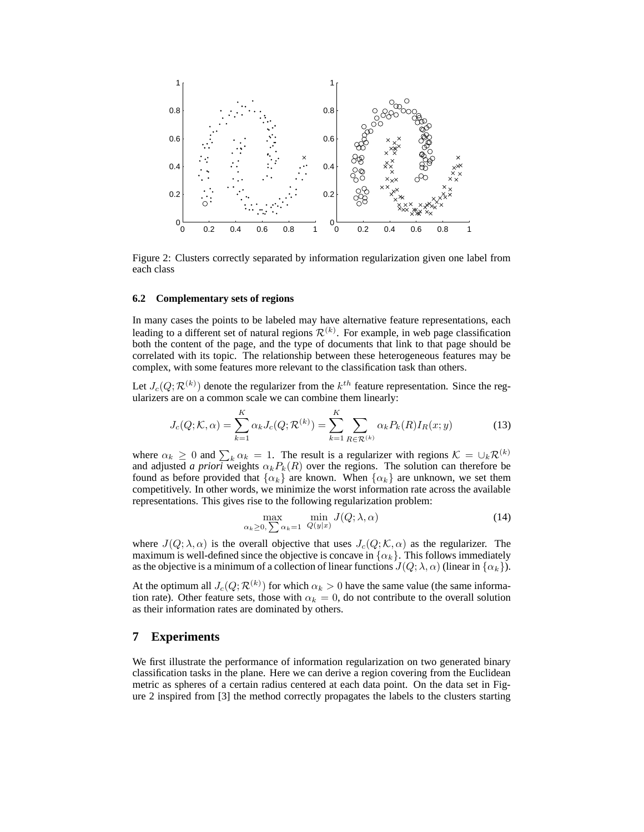

Figure 2: Clusters correctly separated by information regularization given one label from each class

#### **6.2 Complementary sets of regions**

In many cases the points to be labeled may have alternative feature representations, each leading to a different set of natural regions  $\mathcal{R}^{(k)}$ . For example, in web page classification both the content of the page, and the type of documents that link to that page should be correlated with its topic. The relationship between these heterogeneous features may be complex, with some features more relevant to the classification task than others.

Let  $J_c(Q; \mathcal{R}^{(k)})$  denote the regularizer from the  $k^{th}$  feature representation. Since the regularizers are on a common scale we can combine them linearly:

$$
J_c(Q; K, \alpha) = \sum_{k=1}^{K} \alpha_k J_c(Q; \mathcal{R}^{(k)}) = \sum_{k=1}^{K} \sum_{R \in \mathcal{R}^{(k)}} \alpha_k P_k(R) I_R(x; y)
$$
(13)

where  $\alpha_k \geq 0$  and  $\sum_k \alpha_k = 1$ . The result is a regularizer with regions  $\mathcal{K} = \bigcup_k \mathcal{R}^{(k)}$ and adjusted *a priori* weights  $\alpha_k P_k(R)$  over the regions. The solution can therefore be found as before provided that  $\{\alpha_k\}$  are known. When  $\{\alpha_k\}$  are unknown, we set them competitively. In other words, we minimize the worst information rate across the available representations. This gives rise to the following regularization problem:

$$
\max_{\alpha_k \ge 0, \sum \alpha_k = 1} \min_{Q(y|x)} J(Q; \lambda, \alpha)
$$
\n(14)

where  $J(Q; \lambda, \alpha)$  is the overall objective that uses  $J_c(Q; \mathcal{K}, \alpha)$  as the regularizer. The maximum is well-defined since the objective is concave in  $\{\alpha_k\}$ . This follows immediately as the objective is a minimum of a collection of linear functions  $J(Q; \lambda, \alpha)$  (linear in  $\{\alpha_k\}$ ).

At the optimum all  $J_c(Q; \mathcal{R}^{(k)})$  for which  $\alpha_k > 0$  have the same value (the same information rate). Other feature sets, those with  $\alpha_k = 0$ , do not contribute to the overall solution as their information rates are dominated by others.

#### **7 Experiments**

We first illustrate the performance of information regularization on two generated binary classification tasks in the plane. Here we can derive a region covering from the Euclidean metric as spheres of a certain radius centered at each data point. On the data set in Figure 2 inspired from [3] the method correctly propagates the labels to the clusters starting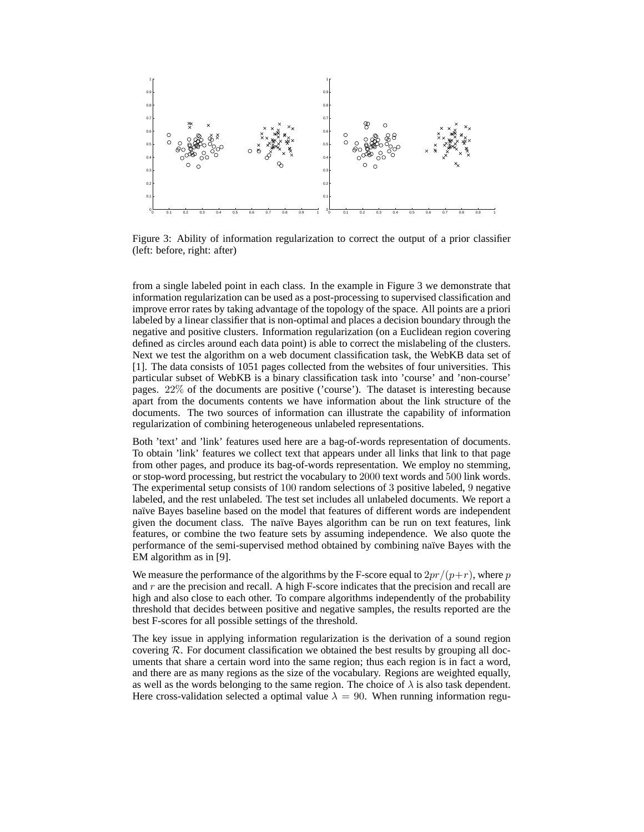

Figure 3: Ability of information regularization to correct the output of a prior classifier (left: before, right: after)

from a single labeled point in each class. In the example in Figure 3 we demonstrate that information regularization can be used as a post-processing to supervised classification and improve error rates by taking advantage of the topology of the space. All points are a priori labeled by a linear classifier that is non-optimal and places a decision boundary through the negative and positive clusters. Information regularization (on a Euclidean region covering defined as circles around each data point) is able to correct the mislabeling of the clusters. Next we test the algorithm on a web document classification task, the WebKB data set of [1]. The data consists of 1051 pages collected from the websites of four universities. This particular subset of WebKB is a binary classification task into 'course' and 'non-course' pages. 22% of the documents are positive ('course'). The dataset is interesting because apart from the documents contents we have information about the link structure of the documents. The two sources of information can illustrate the capability of information regularization of combining heterogeneous unlabeled representations.

Both 'text' and 'link' features used here are a bag-of-words representation of documents. To obtain 'link' features we collect text that appears under all links that link to that page from other pages, and produce its bag-of-words representation. We employ no stemming, or stop-word processing, but restrict the vocabulary to 2000 text words and 500 link words. The experimental setup consists of 100 random selections of 3 positive labeled, 9 negative labeled, and the rest unlabeled. The test set includes all unlabeled documents. We report a naïve Bayes baseline based on the model that features of different words are independent given the document class. The naïve Bayes algorithm can be run on text features, link features, or combine the two feature sets by assuming independence. We also quote the performance of the semi-supervised method obtained by combining na¨ıve Bayes with the EM algorithm as in [9].

We measure the performance of the algorithms by the F-score equal to  $2pr/(p+r)$ , where p and  $r$  are the precision and recall. A high F-score indicates that the precision and recall are high and also close to each other. To compare algorithms independently of the probability threshold that decides between positive and negative samples, the results reported are the best F-scores for all possible settings of the threshold.

The key issue in applying information regularization is the derivation of a sound region covering  $R$ . For document classification we obtained the best results by grouping all documents that share a certain word into the same region; thus each region is in fact a word, and there are as many regions as the size of the vocabulary. Regions are weighted equally, as well as the words belonging to the same region. The choice of  $\lambda$  is also task dependent. Here cross-validation selected a optimal value  $\lambda = 90$ . When running information regu-